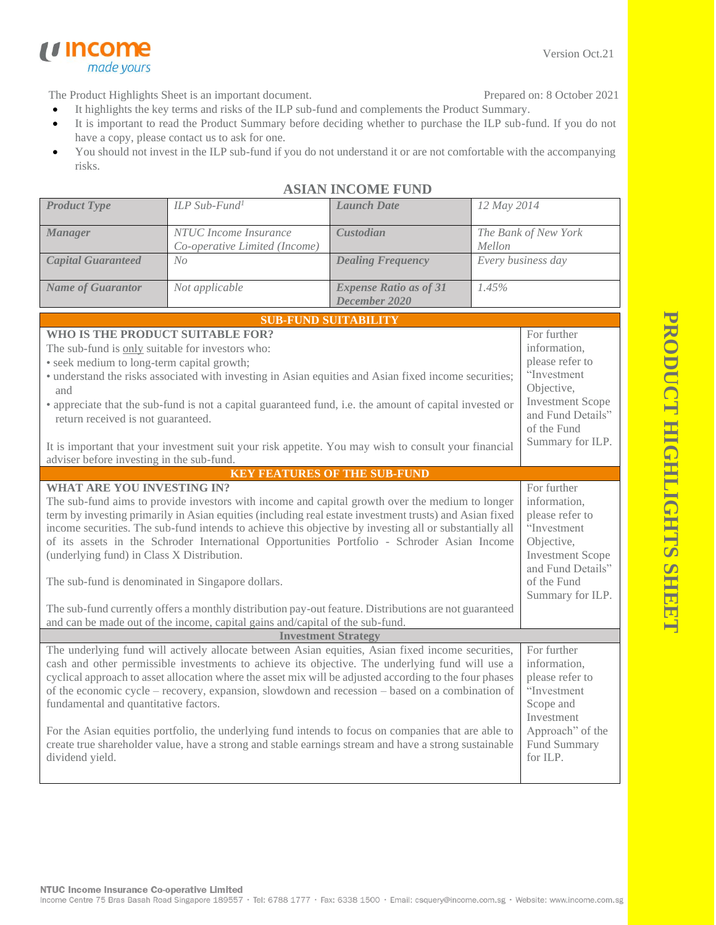**PRODUCT HIGHLIGHTS SHEE PRODUCT HIGHLIGHTS SHEET**

The Product Highlights Sheet is an important document.

made yours

*u* income

- Prepared on: 8 October 2021
- It highlights the key terms and risks of the ILP sub-fund and complements the Product Summary.
- It is important to read the Product Summary before deciding whether to purchase the ILP sub-fund. If you do not have a copy, please contact us to ask for one.
- You should not invest in the ILP sub-fund if you do not understand it or are not comfortable with the accompanying risks.

| <b>Product Type</b>                                                                                                                                                                                                                                                                                                                                                                                                                                                                                                                                                                                                                                                                                                                                     | ILP Sub-Fund <sup>1</sup>                                                                                                                                      | <b>Launch Date</b>                             | 12 May 2014                    |                                                                                                                                                                |  |
|---------------------------------------------------------------------------------------------------------------------------------------------------------------------------------------------------------------------------------------------------------------------------------------------------------------------------------------------------------------------------------------------------------------------------------------------------------------------------------------------------------------------------------------------------------------------------------------------------------------------------------------------------------------------------------------------------------------------------------------------------------|----------------------------------------------------------------------------------------------------------------------------------------------------------------|------------------------------------------------|--------------------------------|----------------------------------------------------------------------------------------------------------------------------------------------------------------|--|
| <b>Manager</b>                                                                                                                                                                                                                                                                                                                                                                                                                                                                                                                                                                                                                                                                                                                                          | NTUC Income Insurance<br>Co-operative Limited (Income)                                                                                                         | <b>Custodian</b>                               | The Bank of New York<br>Mellon |                                                                                                                                                                |  |
| <b>Capital Guaranteed</b>                                                                                                                                                                                                                                                                                                                                                                                                                                                                                                                                                                                                                                                                                                                               | No                                                                                                                                                             | <b>Dealing Frequency</b>                       | Every business day             |                                                                                                                                                                |  |
| <b>Name of Guarantor</b>                                                                                                                                                                                                                                                                                                                                                                                                                                                                                                                                                                                                                                                                                                                                | Not applicable                                                                                                                                                 | <b>Expense Ratio as of 31</b><br>December 2020 | 1.45%                          |                                                                                                                                                                |  |
|                                                                                                                                                                                                                                                                                                                                                                                                                                                                                                                                                                                                                                                                                                                                                         |                                                                                                                                                                | <b>SUB-FUND SUITABILITY</b>                    |                                |                                                                                                                                                                |  |
| WHO IS THE PRODUCT SUITABLE FOR?<br>The sub-fund is only suitable for investors who:<br>· seek medium to long-term capital growth;<br>· understand the risks associated with investing in Asian equities and Asian fixed income securities;<br>and<br>• appreciate that the sub-fund is not a capital guaranteed fund, i.e. the amount of capital invested or<br>return received is not guaranteed.<br>It is important that your investment suit your risk appetite. You may wish to consult your financial<br>adviser before investing in the sub-fund.                                                                                                                                                                                                | For further<br>information,<br>please refer to<br>"Investment<br>Objective,<br><b>Investment Scope</b><br>and Fund Details"<br>of the Fund<br>Summary for ILP. |                                                |                                |                                                                                                                                                                |  |
| <b>KEY FEATURES OF THE SUB-FUND</b>                                                                                                                                                                                                                                                                                                                                                                                                                                                                                                                                                                                                                                                                                                                     |                                                                                                                                                                |                                                |                                |                                                                                                                                                                |  |
| <b>WHAT ARE YOU INVESTING IN?</b><br>The sub-fund aims to provide investors with income and capital growth over the medium to longer<br>term by investing primarily in Asian equities (including real estate investment trusts) and Asian fixed<br>income securities. The sub-fund intends to achieve this objective by investing all or substantially all<br>of its assets in the Schroder International Opportunities Portfolio - Schroder Asian Income<br>(underlying fund) in Class X Distribution.<br>The sub-fund is denominated in Singapore dollars.<br>The sub-fund currently offers a monthly distribution pay-out feature. Distributions are not guaranteed<br>and can be made out of the income, capital gains and/capital of the sub-fund. |                                                                                                                                                                |                                                |                                | For further<br>information,<br>please refer to<br>"Investment<br>Objective,<br><b>Investment Scope</b><br>and Fund Details"<br>of the Fund<br>Summary for ILP. |  |
| <b>Investment Strategy</b><br>The underlying fund will actively allocate between Asian equities, Asian fixed income securities,<br>For further                                                                                                                                                                                                                                                                                                                                                                                                                                                                                                                                                                                                          |                                                                                                                                                                |                                                |                                |                                                                                                                                                                |  |
| cash and other permissible investments to achieve its objective. The underlying fund will use a<br>cyclical approach to asset allocation where the asset mix will be adjusted according to the four phases<br>of the economic cycle - recovery, expansion, slowdown and recession - based on a combination of<br>fundamental and quantitative factors.<br>For the Asian equities portfolio, the underlying fund intends to focus on companies that are able to<br>create true shareholder value, have a strong and stable earnings stream and have a strong sustainable<br>dividend yield.                                                                                                                                                              | information,<br>please refer to<br>"Investment<br>Scope and<br>Investment<br>Approach" of the<br>Fund Summary<br>for ILP.                                      |                                                |                                |                                                                                                                                                                |  |

## **ASIAN INCOME FUND**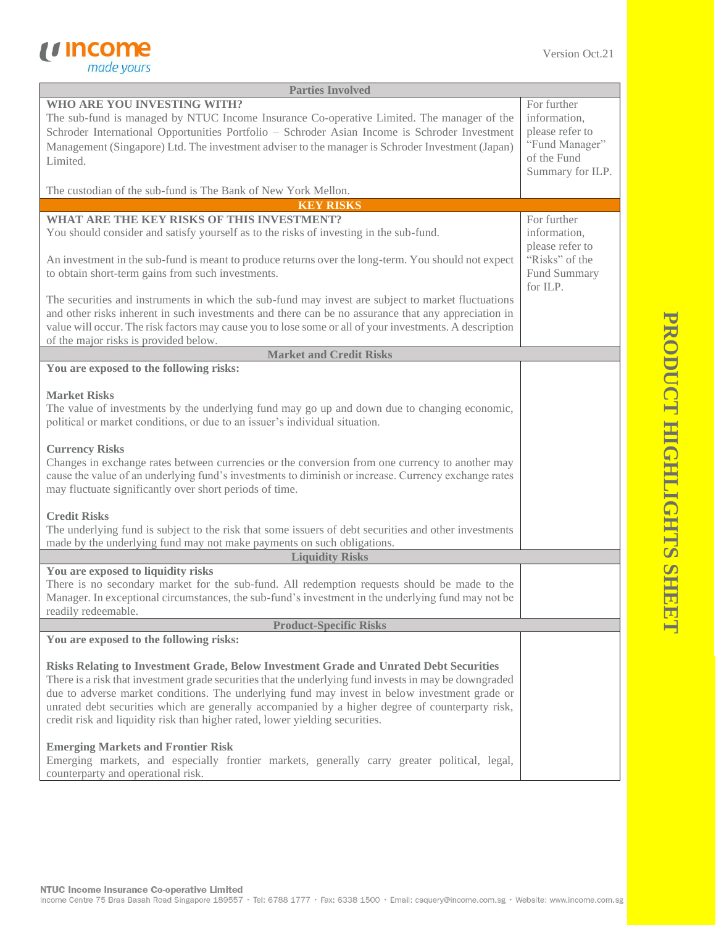

| <b>Parties Involved</b>                                                                                                                                                                                                                                                                                                                                                                                                                                                               |                                                                                                     |
|---------------------------------------------------------------------------------------------------------------------------------------------------------------------------------------------------------------------------------------------------------------------------------------------------------------------------------------------------------------------------------------------------------------------------------------------------------------------------------------|-----------------------------------------------------------------------------------------------------|
| WHO ARE YOU INVESTING WITH?<br>The sub-fund is managed by NTUC Income Insurance Co-operative Limited. The manager of the<br>Schroder International Opportunities Portfolio - Schroder Asian Income is Schroder Investment<br>Management (Singapore) Ltd. The investment adviser to the manager is Schroder Investment (Japan)<br>Limited.                                                                                                                                             | For further<br>information,<br>please refer to<br>"Fund Manager"<br>of the Fund<br>Summary for ILP. |
| The custodian of the sub-fund is The Bank of New York Mellon.                                                                                                                                                                                                                                                                                                                                                                                                                         |                                                                                                     |
| <b>KEY RISKS</b>                                                                                                                                                                                                                                                                                                                                                                                                                                                                      |                                                                                                     |
| WHAT ARE THE KEY RISKS OF THIS INVESTMENT?<br>You should consider and satisfy yourself as to the risks of investing in the sub-fund.                                                                                                                                                                                                                                                                                                                                                  | For further<br>information,<br>please refer to                                                      |
| An investment in the sub-fund is meant to produce returns over the long-term. You should not expect<br>to obtain short-term gains from such investments.                                                                                                                                                                                                                                                                                                                              | "Risks" of the<br>Fund Summary<br>for ILP.                                                          |
| The securities and instruments in which the sub-fund may invest are subject to market fluctuations<br>and other risks inherent in such investments and there can be no assurance that any appreciation in<br>value will occur. The risk factors may cause you to lose some or all of your investments. A description<br>of the major risks is provided below.                                                                                                                         |                                                                                                     |
| <b>Market and Credit Risks</b>                                                                                                                                                                                                                                                                                                                                                                                                                                                        |                                                                                                     |
| You are exposed to the following risks:                                                                                                                                                                                                                                                                                                                                                                                                                                               |                                                                                                     |
| <b>Market Risks</b><br>The value of investments by the underlying fund may go up and down due to changing economic,<br>political or market conditions, or due to an issuer's individual situation.                                                                                                                                                                                                                                                                                    |                                                                                                     |
| <b>Currency Risks</b><br>Changes in exchange rates between currencies or the conversion from one currency to another may<br>cause the value of an underlying fund's investments to diminish or increase. Currency exchange rates<br>may fluctuate significantly over short periods of time.                                                                                                                                                                                           |                                                                                                     |
| <b>Credit Risks</b><br>The underlying fund is subject to the risk that some issuers of debt securities and other investments<br>made by the underlying fund may not make payments on such obligations.                                                                                                                                                                                                                                                                                |                                                                                                     |
| <b>Liquidity Risks</b>                                                                                                                                                                                                                                                                                                                                                                                                                                                                |                                                                                                     |
| You are exposed to liquidity risks<br>There is no secondary market for the sub-fund. All redemption requests should be made to the<br>Manager. In exceptional circumstances, the sub-fund's investment in the underlying fund may not be<br>readily redeemable.                                                                                                                                                                                                                       |                                                                                                     |
| <b>Product-Specific Risks</b>                                                                                                                                                                                                                                                                                                                                                                                                                                                         |                                                                                                     |
| You are exposed to the following risks:                                                                                                                                                                                                                                                                                                                                                                                                                                               |                                                                                                     |
| Risks Relating to Investment Grade, Below Investment Grade and Unrated Debt Securities<br>There is a risk that investment grade securities that the underlying fund invests in may be downgraded<br>due to adverse market conditions. The underlying fund may invest in below investment grade or<br>unrated debt securities which are generally accompanied by a higher degree of counterparty risk,<br>credit risk and liquidity risk than higher rated, lower yielding securities. |                                                                                                     |
| <b>Emerging Markets and Frontier Risk</b><br>Emerging markets, and especially frontier markets, generally carry greater political, legal,<br>counterparty and operational risk.                                                                                                                                                                                                                                                                                                       |                                                                                                     |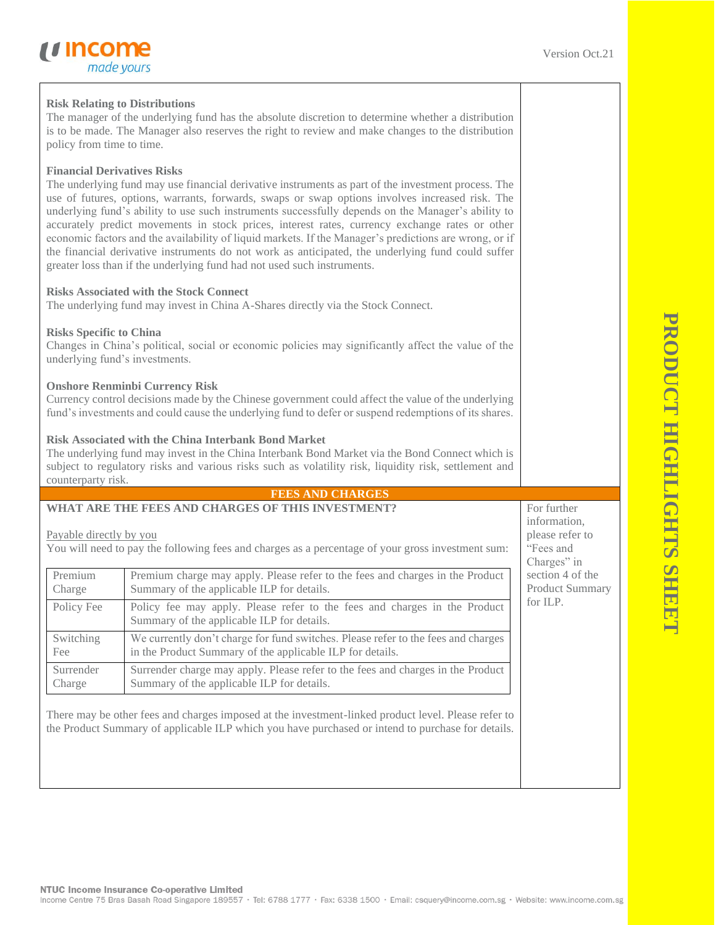## **Risk Relating to Distributions** The manager of the underlying fund has the absolute discretion to determine whether a distribution is to be made. The Manager also reserves the right to review and make changes to the distribution policy from time to time. **Financial Derivatives Risks** The underlying fund may use financial derivative instruments as part of the investment process. The use of futures, options, warrants, forwards, swaps or swap options involves increased risk. The underlying fund's ability to use such instruments successfully depends on the Manager's ability to accurately predict movements in stock prices, interest rates, currency exchange rates or other economic factors and the availability of liquid markets. If the Manager's predictions are wrong, or if the financial derivative instruments do not work as anticipated, the underlying fund could suffer greater loss than if the underlying fund had not used such instruments. **Risks Associated with the Stock Connect** The underlying fund may invest in China A-Shares directly via the Stock Connect. **Risks Specific to China** Changes in China's political, social or economic policies may significantly affect the value of the underlying fund's investments. **Onshore Renminbi Currency Risk** Currency control decisions made by the Chinese government could affect the value of the underlying fund's investments and could cause the underlying fund to defer or suspend redemptions of its shares. **Risk Associated with the China Interbank Bond Market** The underlying fund may invest in the China Interbank Bond Market via the Bond Connect which is subject to regulatory risks and various risks such as volatility risk, liquidity risk, settlement and counterparty risk. **FEES AND CHARGES WHAT ARE THE FEES AND CHARGES OF THIS INVESTMENT?**  Payable directly by you You will need to pay the following fees and charges as a percentage of your gross investment sum: Premium Charge Premium charge may apply. Please refer to the fees and charges in the Product Summary of the applicable ILP for details. Policy Fee Policy fee may apply. Please refer to the fees and charges in the Product Summary of the applicable ILP for details. Switching Fee We currently don't charge for fund switches. Please refer to the fees and charges in the Product Summary of the applicable ILP for details. Surrender Charge Surrender charge may apply. Please refer to the fees and charges in the Product Summary of the applicable ILP for details. For further information, please refer to "Fees and Charges" in section 4 of the Product Summary for ILP.

There may be other fees and charges imposed at the investment-linked product level. Please refer to the Product Summary of applicable ILP which you have purchased or intend to purchase for details.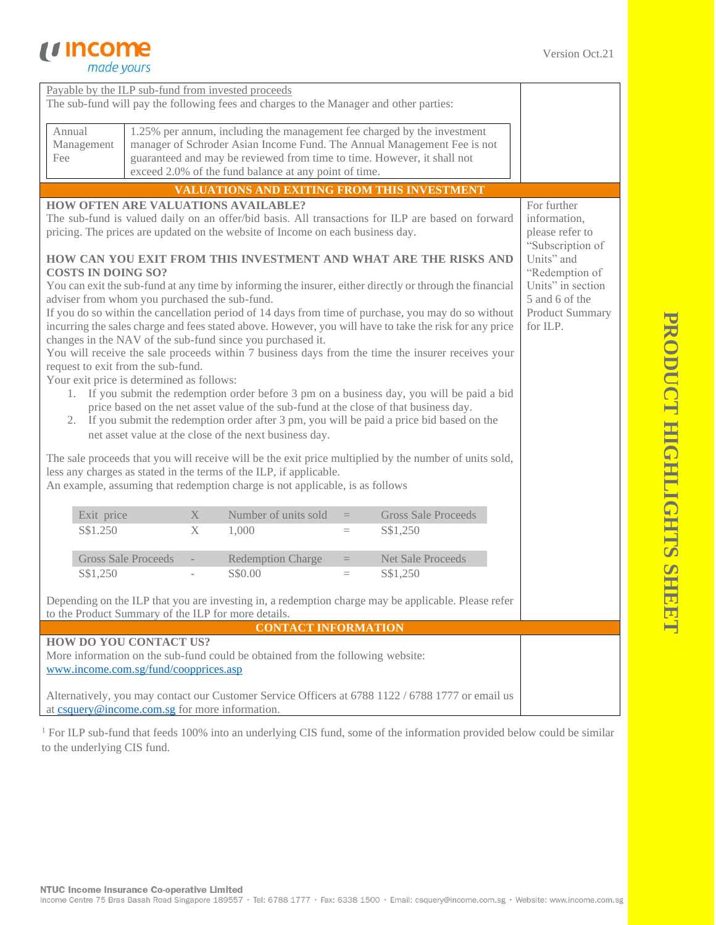

| Payable by the ILP sub-fund from invested proceeds                                                                                                                                                                                                                                                                                                                                                                                                                                                                                                                                                                                                                                                                                                                                          |                            |                   |                                                                                                                                  |                   |                                                                                                                                                    |                                                                                                                                                                     |
|---------------------------------------------------------------------------------------------------------------------------------------------------------------------------------------------------------------------------------------------------------------------------------------------------------------------------------------------------------------------------------------------------------------------------------------------------------------------------------------------------------------------------------------------------------------------------------------------------------------------------------------------------------------------------------------------------------------------------------------------------------------------------------------------|----------------------------|-------------------|----------------------------------------------------------------------------------------------------------------------------------|-------------------|----------------------------------------------------------------------------------------------------------------------------------------------------|---------------------------------------------------------------------------------------------------------------------------------------------------------------------|
| The sub-fund will pay the following fees and charges to the Manager and other parties:                                                                                                                                                                                                                                                                                                                                                                                                                                                                                                                                                                                                                                                                                                      |                            |                   |                                                                                                                                  |                   |                                                                                                                                                    |                                                                                                                                                                     |
| Annual<br>Management<br>Fee                                                                                                                                                                                                                                                                                                                                                                                                                                                                                                                                                                                                                                                                                                                                                                 |                            |                   | guaranteed and may be reviewed from time to time. However, it shall not<br>exceed 2.0% of the fund balance at any point of time. |                   | 1.25% per annum, including the management fee charged by the investment<br>manager of Schroder Asian Income Fund. The Annual Management Fee is not |                                                                                                                                                                     |
|                                                                                                                                                                                                                                                                                                                                                                                                                                                                                                                                                                                                                                                                                                                                                                                             |                            |                   | VALUATIONS AND EXITING FROM THIS INVESTMENT                                                                                      |                   |                                                                                                                                                    |                                                                                                                                                                     |
| <b>HOW OFTEN ARE VALUATIONS AVAILABLE?</b><br>The sub-fund is valued daily on an offer/bid basis. All transactions for ILP are based on forward<br>pricing. The prices are updated on the website of Income on each business day.<br>HOW CAN YOU EXIT FROM THIS INVESTMENT AND WHAT ARE THE RISKS AND<br><b>COSTS IN DOING SO?</b><br>You can exit the sub-fund at any time by informing the insurer, either directly or through the financial<br>adviser from whom you purchased the sub-fund.<br>If you do so within the cancellation period of 14 days from time of purchase, you may do so without<br>incurring the sales charge and fees stated above. However, you will have to take the risk for any price<br>for ILP.<br>changes in the NAV of the sub-fund since you purchased it. |                            |                   |                                                                                                                                  |                   |                                                                                                                                                    | For further<br>information,<br>please refer to<br>"Subscription of<br>Units" and<br>"Redemption of<br>Units" in section<br>5 and 6 of the<br><b>Product Summary</b> |
| You will receive the sale proceeds within 7 business days from the time the insurer receives your<br>request to exit from the sub-fund.<br>Your exit price is determined as follows:<br>1. If you submit the redemption order before 3 pm on a business day, you will be paid a bid<br>price based on the net asset value of the sub-fund at the close of that business day.<br>If you submit the redemption order after 3 pm, you will be paid a price bid based on the<br>2.<br>net asset value at the close of the next business day.                                                                                                                                                                                                                                                    |                            |                   |                                                                                                                                  |                   |                                                                                                                                                    |                                                                                                                                                                     |
| The sale proceeds that you will receive will be the exit price multiplied by the number of units sold,<br>less any charges as stated in the terms of the ILP, if applicable.<br>An example, assuming that redemption charge is not applicable, is as follows                                                                                                                                                                                                                                                                                                                                                                                                                                                                                                                                |                            |                   |                                                                                                                                  |                   |                                                                                                                                                    |                                                                                                                                                                     |
| Exit price                                                                                                                                                                                                                                                                                                                                                                                                                                                                                                                                                                                                                                                                                                                                                                                  |                            | $X_{\mathcal{E}}$ | Number of units sold                                                                                                             | $\qquad \qquad =$ | <b>Gross Sale Proceeds</b>                                                                                                                         |                                                                                                                                                                     |
| S\$1.250                                                                                                                                                                                                                                                                                                                                                                                                                                                                                                                                                                                                                                                                                                                                                                                    |                            | X                 | 1,000                                                                                                                            | $=$               | S\$1,250                                                                                                                                           |                                                                                                                                                                     |
|                                                                                                                                                                                                                                                                                                                                                                                                                                                                                                                                                                                                                                                                                                                                                                                             |                            |                   |                                                                                                                                  |                   |                                                                                                                                                    |                                                                                                                                                                     |
|                                                                                                                                                                                                                                                                                                                                                                                                                                                                                                                                                                                                                                                                                                                                                                                             | <b>Gross Sale Proceeds</b> |                   | <b>Redemption Charge</b>                                                                                                         | $=$               | <b>Net Sale Proceeds</b>                                                                                                                           |                                                                                                                                                                     |
| S\$1,250                                                                                                                                                                                                                                                                                                                                                                                                                                                                                                                                                                                                                                                                                                                                                                                    |                            |                   | S\$0.00                                                                                                                          | $=$               | S\$1,250                                                                                                                                           |                                                                                                                                                                     |
| Depending on the ILP that you are investing in, a redemption charge may be applicable. Please refer<br>to the Product Summary of the ILP for more details.                                                                                                                                                                                                                                                                                                                                                                                                                                                                                                                                                                                                                                  |                            |                   |                                                                                                                                  |                   |                                                                                                                                                    |                                                                                                                                                                     |
|                                                                                                                                                                                                                                                                                                                                                                                                                                                                                                                                                                                                                                                                                                                                                                                             |                            |                   | <b>CONTACT INFORMATION</b>                                                                                                       |                   |                                                                                                                                                    |                                                                                                                                                                     |
| HOW DO YOU CONTACT US?<br>More information on the sub-fund could be obtained from the following website:<br>www.income.com.sg/fund/coopprices.asp                                                                                                                                                                                                                                                                                                                                                                                                                                                                                                                                                                                                                                           |                            |                   |                                                                                                                                  |                   |                                                                                                                                                    |                                                                                                                                                                     |
| at csquery@income.com.sg for more information.                                                                                                                                                                                                                                                                                                                                                                                                                                                                                                                                                                                                                                                                                                                                              |                            |                   |                                                                                                                                  |                   | Alternatively, you may contact our Customer Service Officers at 6788 1122 / 6788 1777 or email us                                                  |                                                                                                                                                                     |

<sup>1</sup> For ILP sub-fund that feeds 100% into an underlying CIS fund, some of the information provided below could be similar to the underlying CIS fund.